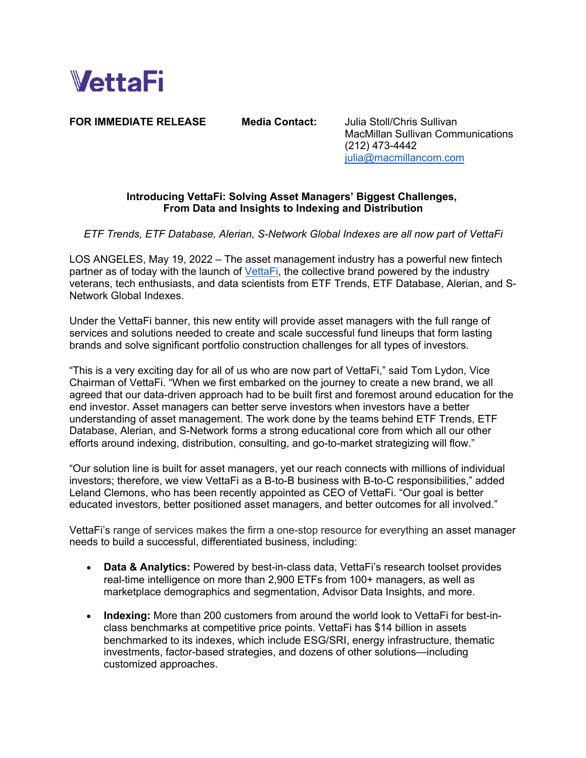

**FOR IMMEDIATE RELEASE Media Contact:** Julia Stoll/Chris Sullivan

MacMillan Sullivan Communications (212) 473-4442 julia@macmillancom.com

## **Introducing VettaFi: Solving Asset Managers' Biggest Challenges, From Data and Insights to Indexing and Distribution**

*ETF Trends, ETF Database, Alerian, S-Network Global Indexes are all now part of VettaFi*

LOS ANGELES, May 19, 2022 – The asset management industry has a powerful new fintech partner as of today with the launch of VettaFi, the collective brand powered by the industry veterans, tech enthusiasts, and data scientists from ETF Trends, ETF Database, Alerian, and S-Network Global Indexes.

Under the VettaFi banner, this new entity will provide asset managers with the full range of services and solutions needed to create and scale successful fund lineups that form lasting brands and solve significant portfolio construction challenges for all types of investors.

"This is a very exciting day for all of us who are now part of VettaFi," said Tom Lydon, Vice Chairman of VettaFi. "When we first embarked on the journey to create a new brand, we all agreed that our data-driven approach had to be built first and foremost around education for the end investor. Asset managers can better serve investors when investors have a better understanding of asset management. The work done by the teams behind ETF Trends, ETF Database, Alerian, and S-Network forms a strong educational core from which all our other efforts around indexing, distribution, consulting, and go-to-market strategizing will flow."

"Our solution line is built for asset managers, yet our reach connects with millions of individual investors; therefore, we view VettaFi as a B-to-B business with B-to-C responsibilities," added Leland Clemons, who has been recently appointed as CEO of VettaFi. "Our goal is better educated investors, better positioned asset managers, and better outcomes for all involved."

VettaFi's range of services makes the firm a one-stop resource for everything an asset manager needs to build a successful, differentiated business, including:

- **Data & Analytics:** Powered by best-in-class data, VettaFi's research toolset provides real-time intelligence on more than 2,900 ETFs from 100+ managers, as well as marketplace demographics and segmentation, Advisor Data Insights, and more.
- **Indexing:** More than 200 customers from around the world look to VettaFi for best-inclass benchmarks at competitive price points. VettaFi has \$14 billion in assets benchmarked to its indexes, which include ESG/SRI, energy infrastructure, thematic investments, factor-based strategies, and dozens of other solutions—including customized approaches.